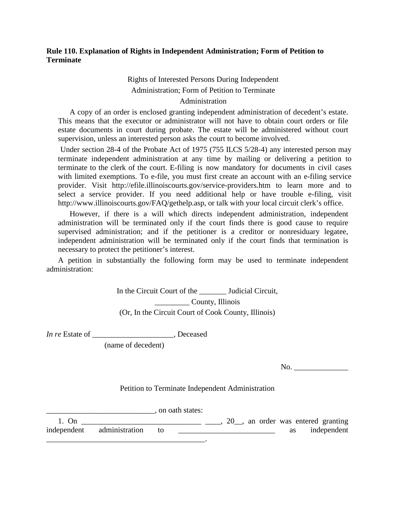## **Rule 110. Explanation of Rights in Independent Administration; Form of Petition to Terminate**

## Rights of Interested Persons During Independent Administration; Form of Petition to Terminate Administration

 A copy of an order is enclosed granting independent administration of decedent's estate. This means that the executor or administrator will not have to obtain court orders or file estate documents in court during probate. The estate will be administered without court supervision, unless an interested person asks the court to become involved.

 Under section 28-4 of the Probate Act of 1975 (755 ILCS 5/28-4) any interested person may terminate independent administration at any time by mailing or delivering a petition to terminate to the clerk of the court. E-filing is now mandatory for documents in civil cases with limited exemptions. To e-file, you must first create an account with an e-filing service provider. [Visit http://efile.illinoiscourts.gov/service-providers.htm](http://efile.illinoiscourts.gov/service-providers.htm) to learn more and to select a service provider. If you need additional help or have trouble e-filing, visit http://www.illinoiscourts.gov/FAQ/gethelp.asp, or talk with your local circuit clerk's office.

However, if there is a will which directs independent administration, independent administration will be terminated only if the court finds there is good cause to require supervised administration; and if the petitioner is a creditor or nonresiduary legatee, independent administration will be terminated only if the court finds that termination is necessary to protect the petitioner's interest.

 A petition in substantially the following form may be used to terminate independent administration:

> In the Circuit Court of the \_\_\_\_\_\_\_ Judicial Circuit, \_\_\_\_\_\_\_\_\_ County, Illinois (Or, In the Circuit Court of Cook County, Illinois)

*In re* Estate of \_\_\_\_\_\_\_\_\_\_\_\_\_\_\_\_\_\_\_\_\_, Deceased

(name of decedent)

No.

Petition to Terminate Independent Administration

\_\_\_\_\_\_\_\_\_\_\_\_\_\_\_\_\_\_\_\_\_\_\_\_\_\_\_\_, on oath states: 1. On \_\_\_\_\_\_\_\_\_\_\_\_\_\_\_\_\_\_\_\_\_\_\_\_\_\_\_\_\_\_\_ \_\_\_\_, 20\_\_, an order was entered granting independent administration to \_\_\_\_\_\_\_\_\_\_\_\_\_\_\_\_\_\_\_\_\_\_\_\_\_\_\_\_\_\_\_\_ as independent \_\_\_\_\_\_\_\_\_\_\_\_\_\_\_\_\_\_\_\_\_\_\_\_\_\_\_\_\_\_\_\_\_\_\_\_\_\_\_\_\_.